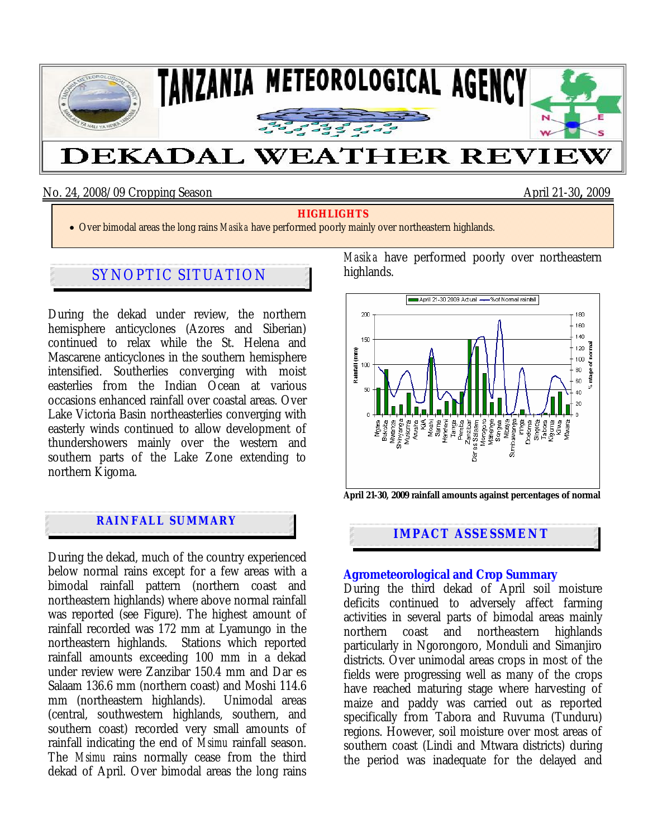

#### No. 24, 2008/09 Cropping Season April 21-30**,** 2009

#### **HIGHLIGHTS**

• Over bimodal areas the long rains *Masika* have performed poorly mainly over northeastern highlands.

# SYNOPTIC SITUATION

During the dekad under review, the northern hemisphere anticyclones (Azores and Siberian) continued to relax while the St. Helena and Mascarene anticyclones in the southern hemisphere intensified. Southerlies converging with moist easterlies from the Indian Ocean at various occasions enhanced rainfall over coastal areas. Over Lake Victoria Basin northeasterlies converging with easterly winds continued to allow development of thundershowers mainly over the western and southern parts of the Lake Zone extending to northern Kigoma.

## **RAINFALL SUMMARY**

j

During the dekad, much of the country experienced below normal rains except for a few areas with a bimodal rainfall pattern (northern coast and northeastern highlands) where above normal rainfall was reported (see Figure). The highest amount of rainfall recorded was 172 mm at Lyamungo in the northeastern highlands. Stations which reported rainfall amounts exceeding 100 mm in a dekad under review were Zanzibar 150.4 mm and Dar es Salaam 136.6 mm (northern coast) and Moshi 114.6 mm (northeastern highlands). Unimodal areas (central, southwestern highlands, southern, and southern coast) recorded very small amounts of rainfall indicating the end of *Msimu* rainfall season. The *Msimu* rains normally cease from the third dekad of April. Over bimodal areas the long rains *Masika* have performed poorly over northeastern highlands.



**IMPACT ASSESSMENT** 

#### **Agrometeorological and Crop Summary**

During the third dekad of April soil moisture deficits continued to adversely affect farming activities in several parts of bimodal areas mainly northern coast and northeastern highlands particularly in Ngorongoro, Monduli and Simanjiro districts. Over unimodal areas crops in most of the fields were progressing well as many of the crops have reached maturing stage where harvesting of maize and paddy was carried out as reported specifically from Tabora and Ruvuma (Tunduru) regions. However, soil moisture over most areas of southern coast (Lindi and Mtwara districts) during the period was inadequate for the delayed and